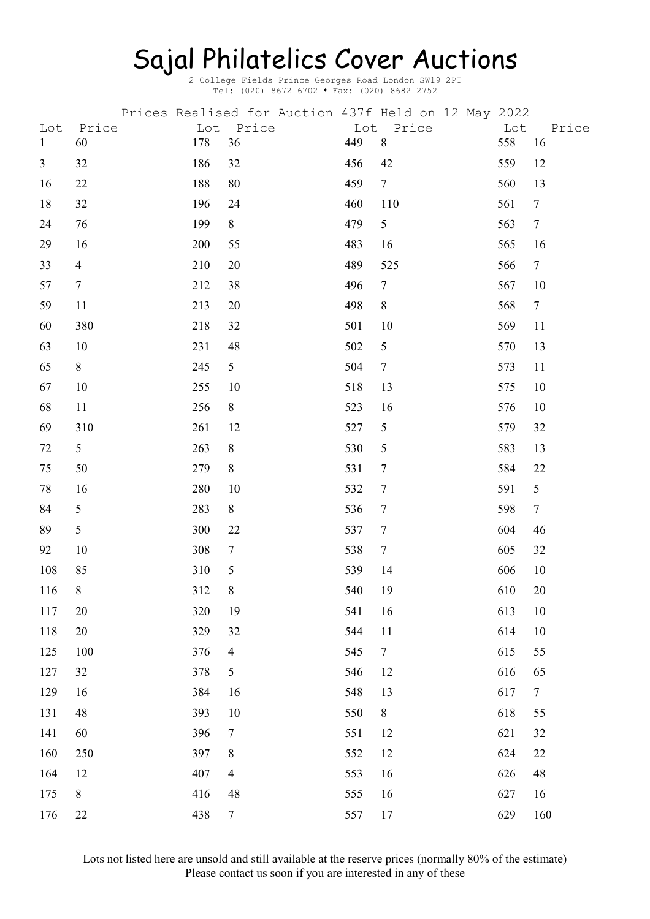## Sajal Philatelics Cover Auctions

2 College Fields Prince Georges Road London SW19 2PT Tel: (020) 8672 6702 • Fax: (020) 8682 2752

|                     |                 |            |                |     | Prices Realised for Auction 437f Held on 12 May 2022 |            |                |
|---------------------|-----------------|------------|----------------|-----|------------------------------------------------------|------------|----------------|
| Lot<br>$\mathbf{1}$ | Price<br>60     | Lot<br>178 | Price<br>36    | 449 | Lot Price<br>$8\,$                                   | Lot<br>558 | Price<br>16    |
| $\mathfrak{Z}$      | 32              | 186        | 32             | 456 | 42                                                   | 559        | 12             |
| 16                  | 22              | 188        | 80             | 459 | $7\overline{ }$                                      | 560        | 13             |
| 18                  | 32              | 196        | 24             | 460 | 110                                                  | 561        | $\tau$         |
| 24                  | 76              | 199        | 8              | 479 | 5                                                    | 563        | $\tau$         |
| 29                  | 16              | 200        | 55             | 483 | 16                                                   | 565        | 16             |
| 33                  | $\overline{4}$  | 210        | 20             | 489 | 525                                                  | 566        | $\overline{7}$ |
| 57                  | $7\phantom{.0}$ | 212        | 38             | 496 | $\tau$                                               | 567        | 10             |
| 59                  | 11              | 213        | 20             | 498 | 8                                                    | 568        | $\overline{7}$ |
| 60                  | 380             | 218        | 32             | 501 | 10                                                   | 569        | 11             |
| 63                  | 10              | 231        | 48             | 502 | 5                                                    | 570        | 13             |
| 65                  | 8               | 245        | 5              | 504 | $7\phantom{.}$                                       | 573        | 11             |
| 67                  | 10              | 255        | 10             | 518 | 13                                                   | 575        | 10             |
| 68                  | 11              | 256        | 8              | 523 | 16                                                   | 576        | 10             |
| 69                  | 310             | 261        | 12             | 527 | 5                                                    | 579        | 32             |
| 72                  | 5               | 263        | 8              | 530 | 5                                                    | 583        | 13             |
| 75                  | 50              | 279        | 8              | 531 | $\overline{7}$                                       | 584        | 22             |
| 78                  | 16              | 280        | 10             | 532 | $\tau$                                               | 591        | 5              |
| 84                  | 5               | 283        | $8\,$          | 536 | $\tau$                                               | 598        | $\overline{7}$ |
| 89                  | 5               | 300        | 22             | 537 | $\tau$                                               | 604        | 46             |
| 92                  | 10              | 308        | $\tau$         | 538 | $\overline{7}$                                       | 605        | 32             |
| 108                 | 85              | 310        | $\mathfrak s$  | 539 | 14                                                   | 606        | 10             |
| 116                 | 8               | 312        | $8\,$          | 540 | 19                                                   | 610        | 20             |
| 117                 | 20              | 320        | 19             | 541 | 16                                                   | 613        | 10             |
| 118                 | 20              | 329        | 32             | 544 | 11                                                   | 614        | 10             |
| 125                 | 100             | 376        | $\overline{4}$ | 545 | $\overline{7}$                                       | 615        | 55             |
| 127                 | 32              | 378        | 5              | 546 | 12                                                   | 616        | 65             |
| 129                 | 16              | 384        | 16             | 548 | 13                                                   | 617        | $\overline{7}$ |
| 131                 | 48              | 393        | 10             | 550 | 8                                                    | 618        | 55             |
| 141                 | 60              | 396        | $\tau$         | 551 | 12                                                   | 621        | 32             |
| 160                 | 250             | 397        | 8              | 552 | 12                                                   | 624        | 22             |
| 164                 | 12              | 407        | $\overline{4}$ | 553 | 16                                                   | 626        | 48             |
| 175                 | $8\,$           | 416        | 48             | 555 | 16                                                   | 627        | 16             |
| 176                 | 22              | 438        | $\tau$         | 557 | 17                                                   | 629        | 160            |

Lots not listed here are unsold and still available at the reserve prices (normally 80% of the estimate) Please contact us soon if you are interested in any of these